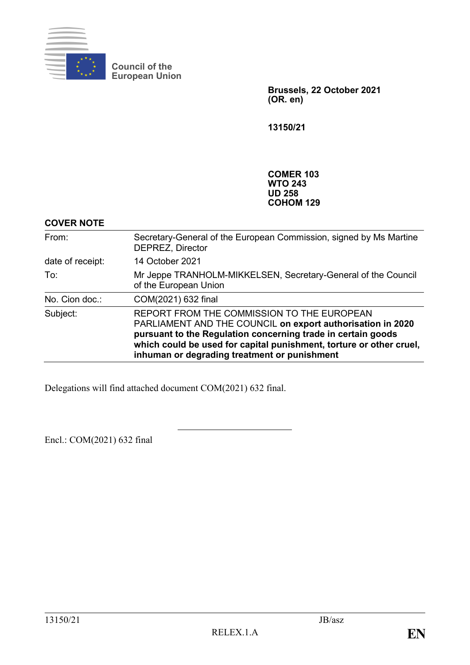

**Council of the European Union**

> **Brussels, 22 October 2021 (OR. en)**

**13150/21**

**COMER 103 WTO 243 UD 258 COHOM 129**

### **COVER NOTE**

| From:            | Secretary-General of the European Commission, signed by Ms Martine<br><b>DEPREZ, Director</b>                                                                                                                                                                                                   |
|------------------|-------------------------------------------------------------------------------------------------------------------------------------------------------------------------------------------------------------------------------------------------------------------------------------------------|
| date of receipt: | 14 October 2021                                                                                                                                                                                                                                                                                 |
| To:              | Mr Jeppe TRANHOLM-MIKKELSEN, Secretary-General of the Council<br>of the European Union                                                                                                                                                                                                          |
| No. Cion doc.:   | COM(2021) 632 final                                                                                                                                                                                                                                                                             |
| Subject:         | REPORT FROM THE COMMISSION TO THE EUROPEAN<br>PARLIAMENT AND THE COUNCIL on export authorisation in 2020<br>pursuant to the Regulation concerning trade in certain goods<br>which could be used for capital punishment, torture or other cruel,<br>inhuman or degrading treatment or punishment |

Delegations will find attached document COM(2021) 632 final.

Encl.: COM(2021) 632 final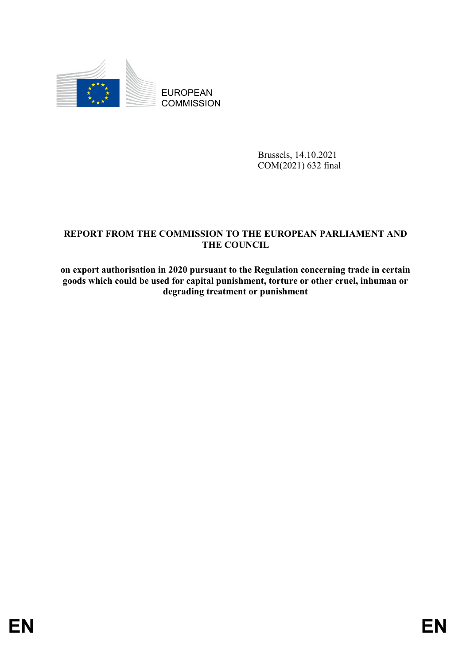

EUROPEAN **COMMISSION** 

> Brussels, 14.10.2021 COM(2021) 632 final

# **REPORT FROM THE COMMISSION TO THE EUROPEAN PARLIAMENT AND THE COUNCIL**

**on export authorisation in 2020 pursuant to the Regulation concerning trade in certain goods which could be used for capital punishment, torture or other cruel, inhuman or degrading treatment or punishment**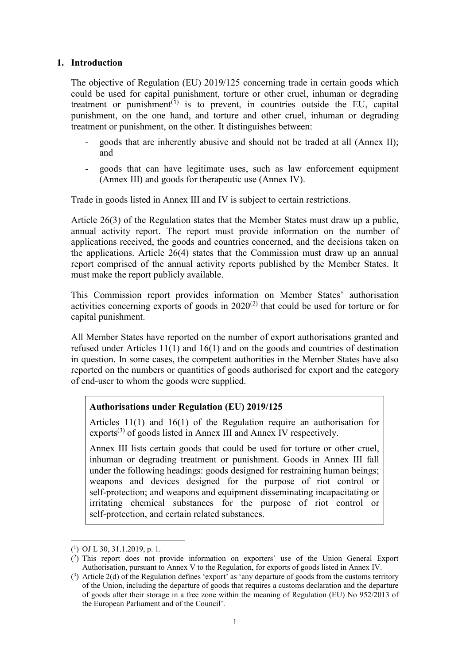#### **1. Introduction**

The objective of Regulation (EU) 2019/125 concerning trade in certain goods which could be used for capital punishment, torture or other cruel, inhuman or degrading treatment or punishment<sup> $(1)$ </sup> is to prevent, in countries outside the EU, capital punishment, on the one hand, and torture and other cruel, inhuman or degrading treatment or punishment, on the other. It distinguishes between:

- goods that are inherently abusive and should not be traded at all (Annex II); and
- goods that can have legitimate uses, such as law enforcement equipment (Annex III) and goods for therapeutic use (Annex IV).

Trade in goods listed in Annex III and IV is subject to certain restrictions.

Article 26(3) of the Regulation states that the Member States must draw up a public, annual activity report. The report must provide information on the number of applications received, the goods and countries concerned, and the decisions taken on the applications. Article 26(4) states that the Commission must draw up an annual report comprised of the annual activity reports published by the Member States. It must make the report publicly available.

This Commission report provides information on Member States' authorisation activities concerning exports of goods in  $2020<sup>(2)</sup>$  that could be used for torture or for capital punishment.

All Member States have reported on the number of export authorisations granted and refused under Articles 11(1) and 16(1) and on the goods and countries of destination in question. In some cases, the competent authorities in the Member States have also reported on the numbers or quantities of goods authorised for export and the category of end-user to whom the goods were supplied.

#### **Authorisations under Regulation (EU) 2019/125**

Articles 11(1) and 16(1) of the Regulation require an authorisation for exports<sup>(3)</sup> of goods listed in Annex III and Annex IV respectively.

Annex III lists certain goods that could be used for torture or other cruel, inhuman or degrading treatment or punishment. Goods in Annex III fall under the following headings: goods designed for restraining human beings; weapons and devices designed for the purpose of riot control or self-protection; and weapons and equipment disseminating incapacitating or irritating chemical substances for the purpose of riot control or self-protection, and certain related substances.

1

<sup>(</sup> 1 ) OJ L 30, 31.1.2019, p. 1.

<sup>(</sup> 2 ) This report does not provide information on exporters' use of the Union General Export Authorisation, pursuant to Annex V to the Regulation, for exports of goods listed in Annex IV.

<sup>(</sup> 3 ) Article 2(d) of the Regulation defines 'export' as 'any departure of goods from the customs territory of the Union, including the departure of goods that requires a customs declaration and the departure of goods after their storage in a free zone within the meaning of Regulation (EU) No 952/2013 of the European Parliament and of the Council'.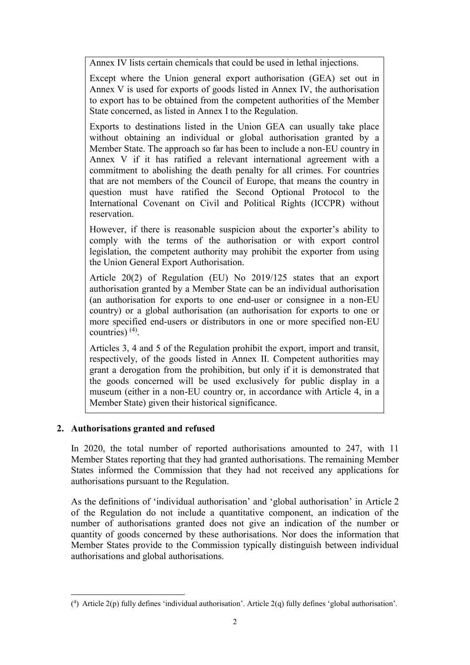Annex IV lists certain chemicals that could be used in lethal injections.

Except where the Union general export authorisation (GEA) set out in Annex V is used for exports of goods listed in Annex IV, the authorisation to export has to be obtained from the competent authorities of the Member State concerned, as listed in Annex I to the Regulation.

Exports to destinations listed in the Union GEA can usually take place without obtaining an individual or global authorisation granted by a Member State. The approach so far has been to include a non-EU country in Annex V if it has ratified a relevant international agreement with a commitment to abolishing the death penalty for all crimes. For countries that are not members of the Council of Europe, that means the country in question must have ratified the Second Optional Protocol to the International Covenant on Civil and Political Rights (ICCPR) without reservation.

However, if there is reasonable suspicion about the exporter's ability to comply with the terms of the authorisation or with export control legislation, the competent authority may prohibit the exporter from using the Union General Export Authorisation.

Article 20(2) of Regulation (EU) No 2019/125 states that an export authorisation granted by a Member State can be an individual authorisation (an authorisation for exports to one end-user or consignee in a non-EU country) or a global authorisation (an authorisation for exports to one or more specified end-users or distributors in one or more specified non-EU countries)  $(4)$ .

Articles 3, 4 and 5 of the Regulation prohibit the export, import and transit, respectively, of the goods listed in Annex II. Competent authorities may grant a derogation from the prohibition, but only if it is demonstrated that the goods concerned will be used exclusively for public display in a museum (either in a non-EU country or, in accordance with Article 4, in a Member State) given their historical significance.

## **2. Authorisations granted and refused**

<u>.</u>

In 2020, the total number of reported authorisations amounted to 247, with 11 Member States reporting that they had granted authorisations. The remaining Member States informed the Commission that they had not received any applications for authorisations pursuant to the Regulation.

As the definitions of 'individual authorisation' and 'global authorisation' in Article 2 of the Regulation do not include a quantitative component, an indication of the number of authorisations granted does not give an indication of the number or quantity of goods concerned by these authorisations. Nor does the information that Member States provide to the Commission typically distinguish between individual authorisations and global authorisations.

<sup>(</sup> 4 ) Article 2(p) fully defines 'individual authorisation'. Article 2(q) fully defines 'global authorisation'.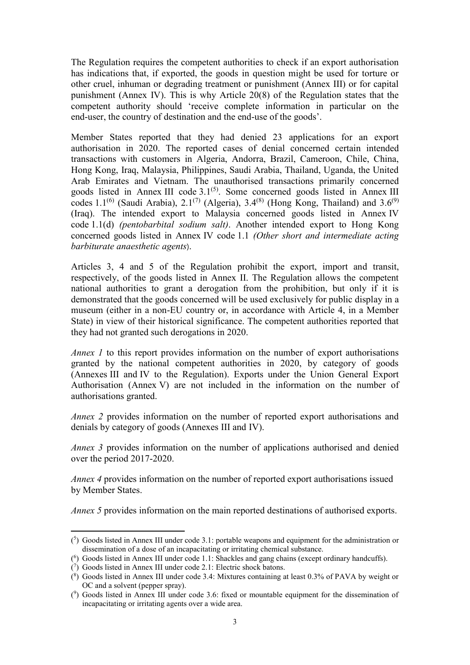The Regulation requires the competent authorities to check if an export authorisation has indications that, if exported, the goods in question might be used for torture or other cruel, inhuman or degrading treatment or punishment (Annex III) or for capital punishment (Annex IV). This is why Article 20(8) of the Regulation states that the competent authority should 'receive complete information in particular on the end-user, the country of destination and the end-use of the goods'.

Member States reported that they had denied 23 applications for an export authorisation in 2020. The reported cases of denial concerned certain intended transactions with customers in Algeria, Andorra, Brazil, Cameroon, Chile, China, Hong Kong, Iraq, Malaysia, Philippines, Saudi Arabia, Thailand, Uganda, the United Arab Emirates and Vietnam. The unauthorised transactions primarily concerned goods listed in Annex III code  $3.1<sup>(5)</sup>$ . Some concerned goods listed in Annex III codes 1.1<sup>(6)</sup> (Saudi Arabia), 2.1<sup>(7)</sup> (Algeria), 3.4<sup>(8)</sup> (Hong Kong, Thailand) and 3.6<sup>(9)</sup> (Iraq). The intended export to Malaysia concerned goods listed in Annex IV code 1.1(d) *(pentobarbital sodium salt)*. Another intended export to Hong Kong concerned goods listed in Annex IV code 1.1 *(Other short and intermediate acting barbiturate anaesthetic agents*).

Articles 3, 4 and 5 of the Regulation prohibit the export, import and transit, respectively, of the goods listed in Annex II. The Regulation allows the competent national authorities to grant a derogation from the prohibition, but only if it is demonstrated that the goods concerned will be used exclusively for public display in a museum (either in a non-EU country or, in accordance with Article 4, in a Member State) in view of their historical significance. The competent authorities reported that they had not granted such derogations in 2020.

*Annex 1* to this report provides information on the number of export authorisations granted by the national competent authorities in 2020, by category of goods (Annexes III and IV to the Regulation). Exports under the Union General Export Authorisation (Annex V) are not included in the information on the number of authorisations granted.

*Annex 2* provides information on the number of reported export authorisations and denials by category of goods (Annexes III and IV).

*Annex 3* provides information on the number of applications authorised and denied over the period 2017-2020.

*Annex 4* provides information on the number of reported export authorisations issued by Member States.

*Annex 5* provides information on the main reported destinations of authorised exports.

<sup>1</sup> ( 5 ) Goods listed in Annex III under code 3.1: portable weapons and equipment for the administration or dissemination of a dose of an incapacitating or irritating chemical substance.

<sup>(</sup> 6 ) Goods listed in Annex III under code 1.1: Shackles and gang chains (except ordinary handcuffs).

<sup>(</sup> 7 ) Goods listed in Annex III under code 2.1: Electric shock batons.

<sup>(</sup> 8 ) Goods listed in Annex III under code 3.4: Mixtures containing at least 0.3% of PAVA by weight or OC and a solvent (pepper spray).

<sup>(</sup> 9 ) Goods listed in Annex III under code 3.6: fixed or mountable equipment for the dissemination of incapacitating or irritating agents over a wide area.